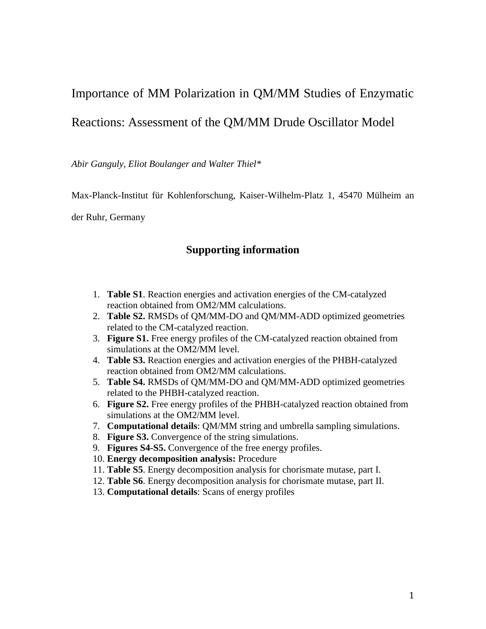# Importance of MM Polarization in QM/MM Studies of Enzymatic

## Reactions: Assessment of the QM/MM Drude Oscillator Model

*Abir Ganguly, Eliot Boulanger and Walter Thiel\**

Max-Planck-Institut für Kohlenforschung, Kaiser-Wilhelm-Platz 1, 45470 Mülheim an

der Ruhr, Germany

### **Supporting information**

- 1. **Table S1**. Reaction energies and activation energies of the CM-catalyzed reaction obtained from OM2/MM calculations.
- 2. **Table S2.** RMSDs of QM/MM-DO and QM/MM-ADD optimized geometries related to the CM-catalyzed reaction.
- 3. **Figure S1.** Free energy profiles of the CM-catalyzed reaction obtained from simulations at the OM2/MM level.
- 4. **Table S3.** Reaction energies and activation energies of the PHBH-catalyzed reaction obtained from OM2/MM calculations.
- 5. **Table S4.** RMSDs of QM/MM-DO and QM/MM-ADD optimized geometries related to the PHBH-catalyzed reaction.
- 6. **Figure S2.** Free energy profiles of the PHBH-catalyzed reaction obtained from simulations at the OM2/MM level.
- 7. **Computational details**: QM/MM string and umbrella sampling simulations.
- 8. **Figure S3.** Convergence of the string simulations.
- 9. **Figures S4-S5.** Convergence of the free energy profiles.
- 10. **Energy decomposition analysis:** Procedure
- 11. **Table S5**. Energy decomposition analysis for chorismate mutase, part I.
- 12. **Table S6**. Energy decomposition analysis for chorismate mutase, part II.
- 13. **Computational details**: Scans of energy profiles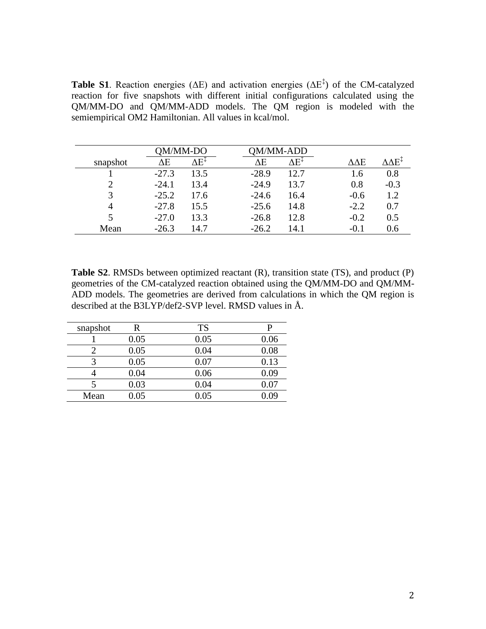**Table S1**. Reaction energies ( $\Delta E$ ) and activation energies ( $\Delta E^{\ddagger}$ ) of the CM-catalyzed reaction for five snapshots with different initial configurations calculated using the QM/MM-DO and QM/MM-ADD models. The QM region is modeled with the semiempirical OM2 Hamiltonian. All values in kcal/mol.

|          | )M/MM-DO |      |         | //MM-ADD |        |        |
|----------|----------|------|---------|----------|--------|--------|
| snapshot | ΔΕ       | ΛEΞ  | ΔE      | ΔE‡      | ΔΔЕ    | AAE∓   |
|          | $-27.3$  | 13.5 | $-28.9$ | 12.7     | 1.6    | 0.8    |
| 2        | $-24.1$  | 13.4 | $-24.9$ | 13.7     | 0.8    | $-0.3$ |
| 3        | $-25.2$  | 17.6 | $-24.6$ | 16.4     | $-0.6$ | 1.2    |
| 4        | $-27.8$  | 15.5 | $-25.6$ | 14.8     | $-2.2$ | 0.7    |
|          | $-27.0$  | 13.3 | $-26.8$ | 12.8     | $-0.2$ | 0.5    |
| Mean     | $-26.3$  | 14.7 | $-26.2$ | 14.1     | $-0.1$ | 0.6    |

**Table S2**. RMSDs between optimized reactant (R), transition state (TS), and product (P) geometries of the CM-catalyzed reaction obtained using the QM/MM-DO and QM/MM-ADD models. The geometries are derived from calculations in which the QM region is described at the B3LYP/def2-SVP level. RMSD values in Å.

| snapshot | R    | <b>TS</b> |      |
|----------|------|-----------|------|
|          | 0.05 | 0.05      | 0.06 |
|          | 0.05 | 0.04      | 0.08 |
| 2        | 0.05 | 0.07      | 0.13 |
|          | 0.04 | 0.06      | 0.09 |
|          | 0.03 | 0.04      | 0.07 |
| Mean     | 0.05 | 0.05      | ) ሀር |
|          |      |           |      |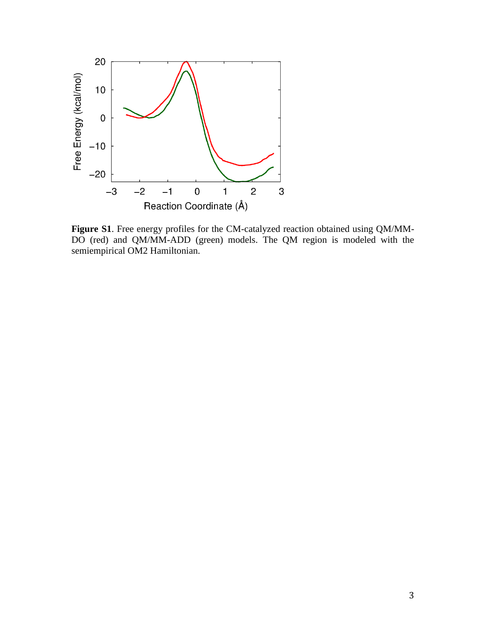

**Figure S1**. Free energy profiles for the CM-catalyzed reaction obtained using QM/MM-DO (red) and QM/MM-ADD (green) models. The QM region is modeled with the semiempirical OM2 Hamiltonian.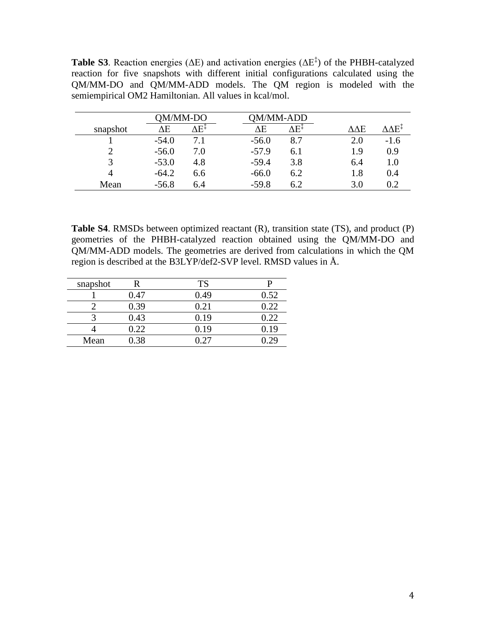**Table S3**. Reaction energies ( $\Delta E$ ) and activation energies ( $\Delta E^{\ddagger}$ ) of the PHBH-catalyzed reaction for five snapshots with different initial configurations calculated using the QM/MM-DO and QM/MM-ADD models. The QM region is modeled with the semiempirical OM2 Hamiltonian. All values in kcal/mol.

|          | )M/MM-DO |     |         | M/MM-ADD |                  |        |
|----------|----------|-----|---------|----------|------------------|--------|
| snapshot | ΔΕ       | 7E+ | ΛE      | H۴       | $\Delta\Delta E$ | ∧∧F‡   |
|          | $-54.0$  | 7.1 | $-56.0$ | 8.7      | 2.0              | $-1.6$ |
| ◠        | $-56.0$  | 7.0 | $-57.9$ | 6.1      | 1.9              | 0.9    |
| 3        | $-53.0$  | 4.8 | $-59.4$ | 3.8      | 6.4              | 1.0    |
|          | $-64.2$  | 6.6 | $-66.0$ | 6.2      | 1.8              | 0.4    |
| Mean     | $-56.8$  | 6.4 | $-59.8$ | 6.2      | 3.0              | 0.2    |

**Table S4**. RMSDs between optimized reactant (R), transition state (TS), and product (P) geometries of the PHBH-catalyzed reaction obtained using the QM/MM-DO and QM/MM-ADD models. The geometries are derived from calculations in which the QM region is described at the B3LYP/def2-SVP level. RMSD values in Å.

| snapshot |      | TS   |      |
|----------|------|------|------|
|          | 0.47 | 0.49 | 0.52 |
|          | 0.39 | 0.21 | 0.22 |
|          | 0.43 | 0.19 | 0.22 |
|          | 0.22 | 0.19 | 0.19 |
| Mean     | 0.38 |      |      |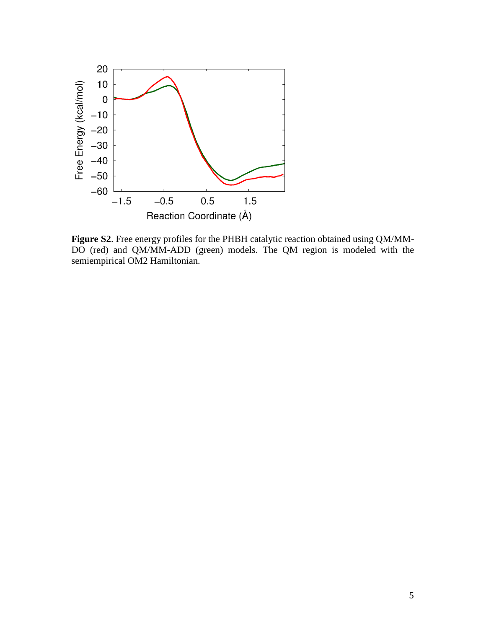

**Figure S2**. Free energy profiles for the PHBH catalytic reaction obtained using QM/MM-DO (red) and QM/MM-ADD (green) models. The QM region is modeled with the semiempirical OM2 Hamiltonian.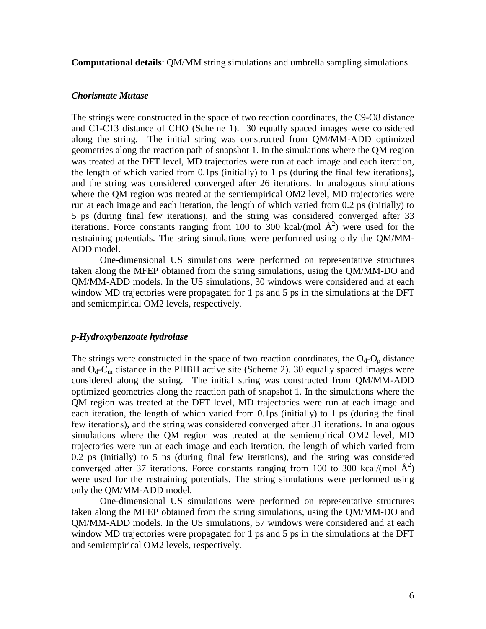**Computational details**: QM/MM string simulations and umbrella sampling simulations

#### *Chorismate Mutase*

The strings were constructed in the space of two reaction coordinates, the C9-O8 distance and C1-C13 distance of CHO (Scheme 1). 30 equally spaced images were considered along the string. The initial string was constructed from QM/MM-ADD optimized geometries along the reaction path of snapshot 1. In the simulations where the QM region was treated at the DFT level, MD trajectories were run at each image and each iteration, the length of which varied from 0.1ps (initially) to 1 ps (during the final few iterations), and the string was considered converged after 26 iterations. In analogous simulations where the OM region was treated at the semiempirical OM2 level, MD trajectories were run at each image and each iteration, the length of which varied from 0.2 ps (initially) to 5 ps (during final few iterations), and the string was considered converged after 33 iterations. Force constants ranging from 100 to 300 kcal/(mol  $\AA^2$ ) were used for the restraining potentials. The string simulations were performed using only the QM/MM-ADD model.

One-dimensional US simulations were performed on representative structures taken along the MFEP obtained from the string simulations, using the QM/MM-DO and QM/MM-ADD models. In the US simulations, 30 windows were considered and at each window MD trajectories were propagated for 1 ps and 5 ps in the simulations at the DFT and semiempirical OM2 levels, respectively.

#### *p-Hydroxybenzoate hydrolase*

The strings were constructed in the space of two reaction coordinates, the  $O_d-O_p$  distance and  $O_d$ -C<sub>m</sub> distance in the PHBH active site (Scheme 2). 30 equally spaced images were considered along the string. The initial string was constructed from QM/MM-ADD optimized geometries along the reaction path of snapshot 1. In the simulations where the QM region was treated at the DFT level, MD trajectories were run at each image and each iteration, the length of which varied from 0.1ps (initially) to 1 ps (during the final few iterations), and the string was considered converged after 31 iterations. In analogous simulations where the QM region was treated at the semiempirical OM2 level, MD trajectories were run at each image and each iteration, the length of which varied from 0.2 ps (initially) to 5 ps (during final few iterations), and the string was considered converged after 37 iterations. Force constants ranging from 100 to 300 kcal/(mol  $\AA^2$ ) were used for the restraining potentials. The string simulations were performed using only the QM/MM-ADD model.

One-dimensional US simulations were performed on representative structures taken along the MFEP obtained from the string simulations, using the QM/MM-DO and QM/MM-ADD models. In the US simulations, 57 windows were considered and at each window MD trajectories were propagated for 1 ps and 5 ps in the simulations at the DFT and semiempirical OM2 levels, respectively.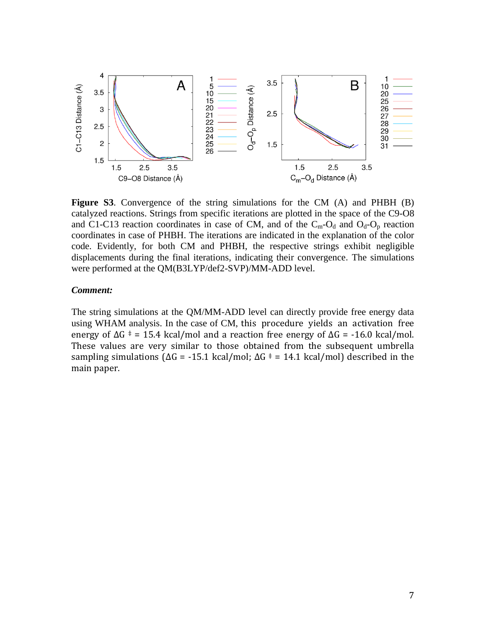

**Figure S3**. Convergence of the string simulations for the CM (A) and PHBH (B) catalyzed reactions. Strings from specific iterations are plotted in the space of the C9-O8 and C1-C13 reaction coordinates in case of CM, and of the  $C_m-O_d$  and  $O_d-O_p$  reaction coordinates in case of PHBH. The iterations are indicated in the explanation of the color code. Evidently, for both CM and PHBH, the respective strings exhibit negligible displacements during the final iterations, indicating their convergence. The simulations were performed at the QM(B3LYP/def2-SVP)/MM-ADD level.

#### *Comment:*

The string simulations at the QM/MM-ADD level can directly provide free energy data using WHAM analysis. In the case of CM, this procedure yields an activation free energy of  $\Delta G$  = 15.4 kcal/mol and a reaction free energy of  $\Delta G$  = -16.0 kcal/mol. These values are very similar to those obtained from the subsequent umbrella sampling simulations ( $\Delta G = -15.1$  kcal/mol;  $\Delta G = 14.1$  kcal/mol) described in the main paper.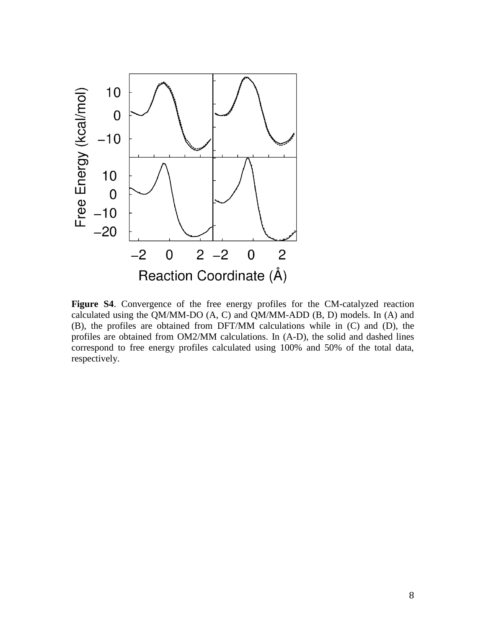

**Figure S4**. Convergence of the free energy profiles for the CM-catalyzed reaction calculated using the QM/MM-DO (A, C) and QM/MM-ADD (B, D) models. In (A) and (B), the profiles are obtained from DFT/MM calculations while in (C) and (D), the profiles are obtained from OM2/MM calculations. In (A-D), the solid and dashed lines correspond to free energy profiles calculated using 100% and 50% of the total data, respectively.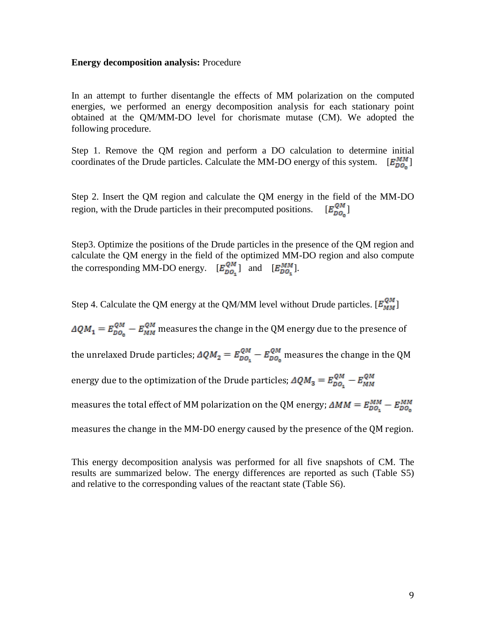#### **Energy decomposition analysis:** Procedure

In an attempt to further disentangle the effects of MM polarization on the computed energies, we performed an energy decomposition analysis for each stationary point obtained at the QM/MM-DO level for chorismate mutase (CM). We adopted the following procedure.

Step 1. Remove the QM region and perform a DO calculation to determine initial coordinates of the Drude particles. Calculate the MM-DO energy of this system.  $[E_{DO}^{MM}]$ 

Step 2. Insert the QM region and calculate the QM energy in the field of the MM-DO region, with the Drude particles in their precomputed positions.  $[E_{\text{D}0}^{\text{QM}}]$ 

Step3. Optimize the positions of the Drude particles in the presence of the QM region and calculate the QM energy in the field of the optimized MM-DO region and also compute the corresponding MM-DO energy.  $[E_{DO_{\tau}}^{QM}]$  and  $[E_{DO_{\tau}}^{MM}]$ .

Step 4. Calculate the QM energy at the QM/MM level without Drude particles.  $[E_{MM}^{QM}]$ 

 $\Delta QM_1 = E_{DO_0}^{QM} - E_{MM}^{QM}$  measures the change in the QM energy due to the presence of the unrelaxed Drude particles;  $\Delta Q M_2 = E_{DQ_1}^{QM} - E_{DQ_0}^{QM}$  measures the change in the QM energy due to the optimization of the Drude particles;  $\Delta Q M_3 = E_{DO_s}^{QM} - E_{MM}^{QM}$ measures the total effect of MM polarization on the QM energy;  $\Delta MM = E_{DO_2}^{MM} - E_{DO_2}^{MM}$ measures the change in the MM-DO energy caused by the presence of the QM region.

This energy decomposition analysis was performed for all five snapshots of CM. The results are summarized below. The energy differences are reported as such (Table S5) and relative to the corresponding values of the reactant state (Table S6).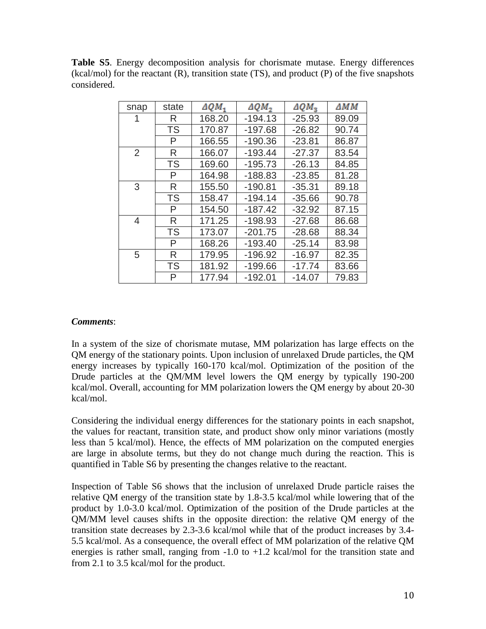**Table S5**. Energy decomposition analysis for chorismate mutase. Energy differences  $(kcal/mol)$  for the reactant  $(R)$ , transition state  $(TS)$ , and product  $(P)$  of the five snapshots considered.

| snap           | state     | $\triangle QM_1$ | $\triangle QM_2$ | $\triangle QM_{3}$ | ΔΜΜ   |
|----------------|-----------|------------------|------------------|--------------------|-------|
|                | R         | 168.20           | $-194.13$        | $-25.93$           | 89.09 |
|                | <b>TS</b> | 170.87           | $-197.68$        | $-26.82$           | 90.74 |
|                | P         | 166.55           | $-190.36$        | $-23.81$           | 86.87 |
| $\overline{2}$ | R         | 166.07           | $-193.44$        | $-27.37$           | 83.54 |
|                | <b>TS</b> | 169.60           | $-195.73$        | $-26.13$           | 84.85 |
|                | P         | 164.98           | $-188.83$        | $-23.85$           | 81.28 |
| 3              | R         | 155.50           | $-190.81$        | $-35.31$           | 89.18 |
|                | <b>TS</b> | 158.47           | $-194.14$        | $-35.66$           | 90.78 |
|                | P         | 154.50           | $-187.42$        | $-32.92$           | 87.15 |
| 4              | R         | 171.25           | $-198.93$        | $-27.68$           | 86.68 |
|                | <b>TS</b> | 173.07           | $-201.75$        | $-28.68$           | 88.34 |
|                | P         | 168.26           | $-193.40$        | $-25.14$           | 83.98 |
| 5              | R         | 179.95           | $-196.92$        | $-16.97$           | 82.35 |
|                | <b>TS</b> | 181.92           | $-199.66$        | $-17.74$           | 83.66 |
|                | P         | 177.94           | $-192.01$        | $-14.07$           | 79.83 |

#### *Comments*:

In a system of the size of chorismate mutase, MM polarization has large effects on the QM energy of the stationary points. Upon inclusion of unrelaxed Drude particles, the QM energy increases by typically 160-170 kcal/mol. Optimization of the position of the Drude particles at the QM/MM level lowers the QM energy by typically 190-200 kcal/mol. Overall, accounting for MM polarization lowers the QM energy by about 20-30 kcal/mol.

Considering the individual energy differences for the stationary points in each snapshot, the values for reactant, transition state, and product show only minor variations (mostly less than 5 kcal/mol). Hence, the effects of MM polarization on the computed energies are large in absolute terms, but they do not change much during the reaction. This is quantified in Table S6 by presenting the changes relative to the reactant.

Inspection of Table S6 shows that the inclusion of unrelaxed Drude particle raises the relative QM energy of the transition state by 1.8-3.5 kcal/mol while lowering that of the product by 1.0-3.0 kcal/mol. Optimization of the position of the Drude particles at the QM/MM level causes shifts in the opposite direction: the relative QM energy of the transition state decreases by 2.3-3.6 kcal/mol while that of the product increases by 3.4- 5.5 kcal/mol. As a consequence, the overall effect of MM polarization of the relative QM energies is rather small, ranging from  $-1.0$  to  $+1.2$  kcal/mol for the transition state and from 2.1 to 3.5 kcal/mol for the product.